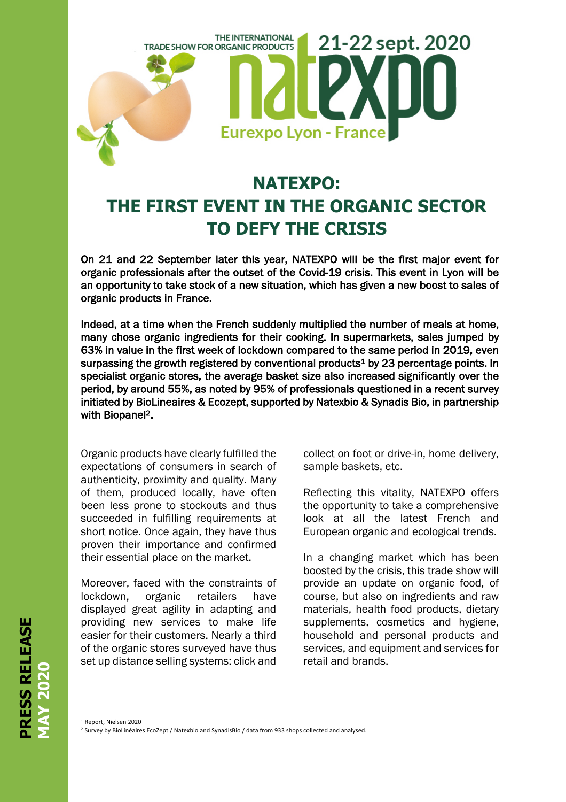

## **NATEXPO: THE FIRST EVENT IN THE ORGANIC SECTOR TO DEFY THE CRISIS**

On 21 and 22 September later this year, NATEXPO will be the first major event for organic professionals after the outset of the Covid-19 crisis. This event in Lyon will be an opportunity to take stock of a new situation, which has given a new boost to sales of organic products in France.

Indeed, at a time when the French suddenly multiplied the number of meals at home, many chose organic ingredients for their cooking. In supermarkets, sales jumped by 63% in value in the first week of lockdown compared to the same period in 2019, even surpassing the growth registered by conventional products<sup>1</sup> by 23 percentage points. In specialist organic stores, the average basket size also increased significantly over the period, by around 55%, as noted by 95% of professionals questioned in a recent survey initiated by BioLineaires & Ecozept, supported by Natexbio & Synadis Bio, in partnership with Biopanel<sup>2</sup>.

Organic products have clearly fulfilled the expectations of consumers in search of authenticity, proximity and quality. Many of them, produced locally, have often been less prone to stockouts and thus succeeded in fulfilling requirements at short notice. Once again, they have thus proven their importance and confirmed their essential place on the market.

Moreover, faced with the constraints of lockdown, organic retailers have displayed great agility in adapting and providing new services to make life easier for their customers. Nearly a third of the organic stores surveyed have thus set up distance selling systems: click and

collect on foot or drive-in, home delivery, sample baskets, etc.

Reflecting this vitality, NATEXPO offers the opportunity to take a comprehensive look at all the latest French and European organic and ecological trends.

In a changing market which has been boosted by the crisis, this trade show will provide an update on organic food, of course, but also on ingredients and raw materials, health food products, dietary supplements, cosmetics and hygiene, household and personal products and services, and equipment and services for retail and brands.

I

RESS RELEASE **PRESS RELEASE MAY 2020** 

<sup>1</sup> Report, Nielsen 2020

<sup>2</sup> Survey by BioLinéaires EcoZept / Natexbio and SynadisBio / data from 933 shops collected and analysed.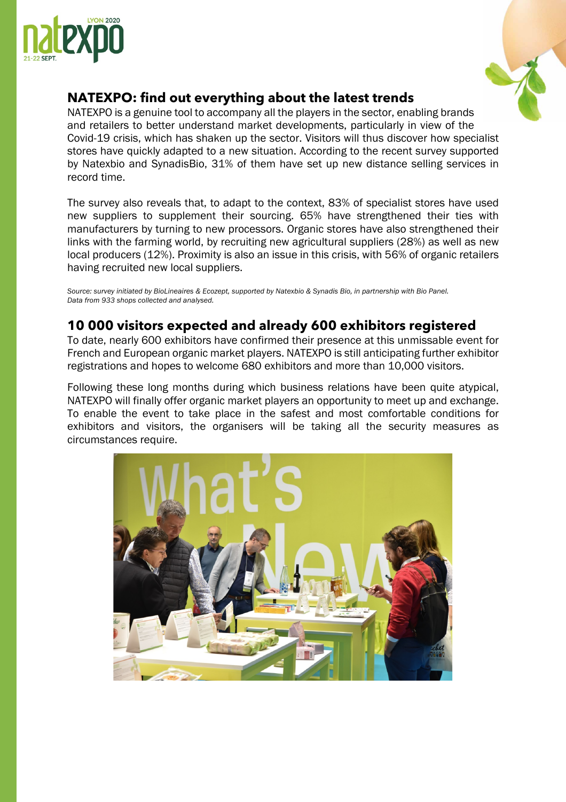



## **NATEXPO: find out everything about the latest trends**

NATEXPO is a genuine tool to accompany all the players in the sector, enabling brands and retailers to better understand market developments, particularly in view of the Covid-19 crisis, which has shaken up the sector. Visitors will thus discover how specialist stores have quickly adapted to a new situation. According to the recent survey supported by Natexbio and SynadisBio, 31% of them have set up new distance selling services in record time.

The survey also reveals that, to adapt to the context, 83% of specialist stores have used new suppliers to supplement their sourcing. 65% have strengthened their ties with manufacturers by turning to new processors. Organic stores have also strengthened their links with the farming world, by recruiting new agricultural suppliers (28%) as well as new local producers (12%). Proximity is also an issue in this crisis, with 56% of organic retailers having recruited new local suppliers.

*Source: survey initiated by BioLineaires & Ecozept, supported by Natexbio & Synadis Bio, in partnership with Bio Panel. Data from 933 shops collected and analysed.*

## **10 000 visitors expected and already 600 exhibitors registered**

To date, nearly 600 exhibitors have confirmed their presence at this unmissable event for French and European organic market players. NATEXPO is still anticipating further exhibitor registrations and hopes to welcome 680 exhibitors and more than 10,000 visitors.

Following these long months during which business relations have been quite atypical, NATEXPO will finally offer organic market players an opportunity to meet up and exchange. To enable the event to take place in the safest and most comfortable conditions for exhibitors and visitors, the organisers will be taking all the security measures as circumstances require.